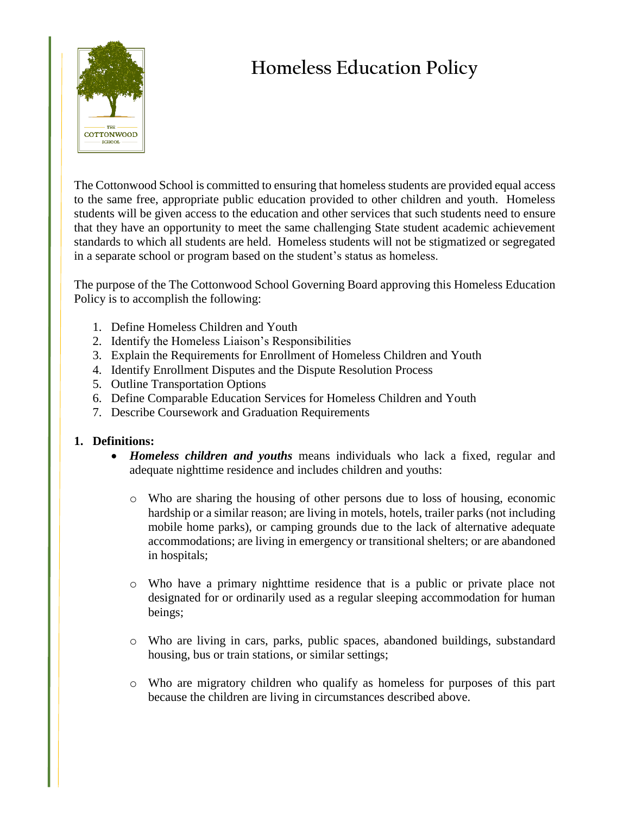

## **Homeless Education Policy**

The Cottonwood School is committed to ensuring that homeless students are provided equal access to the same free, appropriate public education provided to other children and youth. Homeless students will be given access to the education and other services that such students need to ensure that they have an opportunity to meet the same challenging State student academic achievement standards to which all students are held. Homeless students will not be stigmatized or segregated in a separate school or program based on the student's status as homeless.

The purpose of the The Cottonwood School Governing Board approving this Homeless Education Policy is to accomplish the following:

- 1. Define Homeless Children and Youth
- 2. Identify the Homeless Liaison's Responsibilities
- 3. Explain the Requirements for Enrollment of Homeless Children and Youth
- 4. Identify Enrollment Disputes and the Dispute Resolution Process
- 5. Outline Transportation Options
- 6. Define Comparable Education Services for Homeless Children and Youth
- 7. Describe Coursework and Graduation Requirements

## **1. Definitions:**

- *Homeless children and youths* means individuals who lack a fixed, regular and adequate nighttime residence and includes children and youths:
	- o Who are sharing the housing of other persons due to loss of housing, economic hardship or a similar reason; are living in motels, hotels, trailer parks (not including mobile home parks), or camping grounds due to the lack of alternative adequate accommodations; are living in emergency or transitional shelters; or are abandoned in hospitals;
	- o Who have a primary nighttime residence that is a public or private place not designated for or ordinarily used as a regular sleeping accommodation for human beings;
	- o Who are living in cars, parks, public spaces, abandoned buildings, substandard housing, bus or train stations, or similar settings;
	- o Who are migratory children who qualify as homeless for purposes of this part because the children are living in circumstances described above.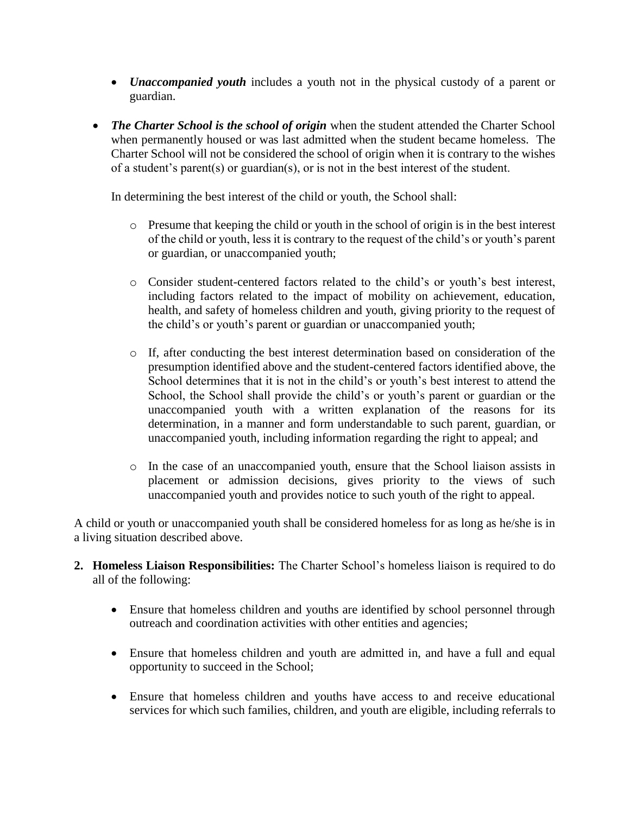- *Unaccompanied youth* includes a youth not in the physical custody of a parent or guardian.
- The Charter School is the school of origin when the student attended the Charter School when permanently housed or was last admitted when the student became homeless. The Charter School will not be considered the school of origin when it is contrary to the wishes of a student's parent(s) or guardian(s), or is not in the best interest of the student.

In determining the best interest of the child or youth, the School shall:

- o Presume that keeping the child or youth in the school of origin is in the best interest of the child or youth, less it is contrary to the request of the child's or youth's parent or guardian, or unaccompanied youth;
- o Consider student-centered factors related to the child's or youth's best interest, including factors related to the impact of mobility on achievement, education, health, and safety of homeless children and youth, giving priority to the request of the child's or youth's parent or guardian or unaccompanied youth;
- o If, after conducting the best interest determination based on consideration of the presumption identified above and the student-centered factors identified above, the School determines that it is not in the child's or youth's best interest to attend the School, the School shall provide the child's or youth's parent or guardian or the unaccompanied youth with a written explanation of the reasons for its determination, in a manner and form understandable to such parent, guardian, or unaccompanied youth, including information regarding the right to appeal; and
- o In the case of an unaccompanied youth, ensure that the School liaison assists in placement or admission decisions, gives priority to the views of such unaccompanied youth and provides notice to such youth of the right to appeal.

A child or youth or unaccompanied youth shall be considered homeless for as long as he/she is in a living situation described above.

- **2. Homeless Liaison Responsibilities:** The Charter School's homeless liaison is required to do all of the following:
	- Ensure that homeless children and youths are identified by school personnel through outreach and coordination activities with other entities and agencies;
	- Ensure that homeless children and youth are admitted in, and have a full and equal opportunity to succeed in the School;
	- Ensure that homeless children and youths have access to and receive educational services for which such families, children, and youth are eligible, including referrals to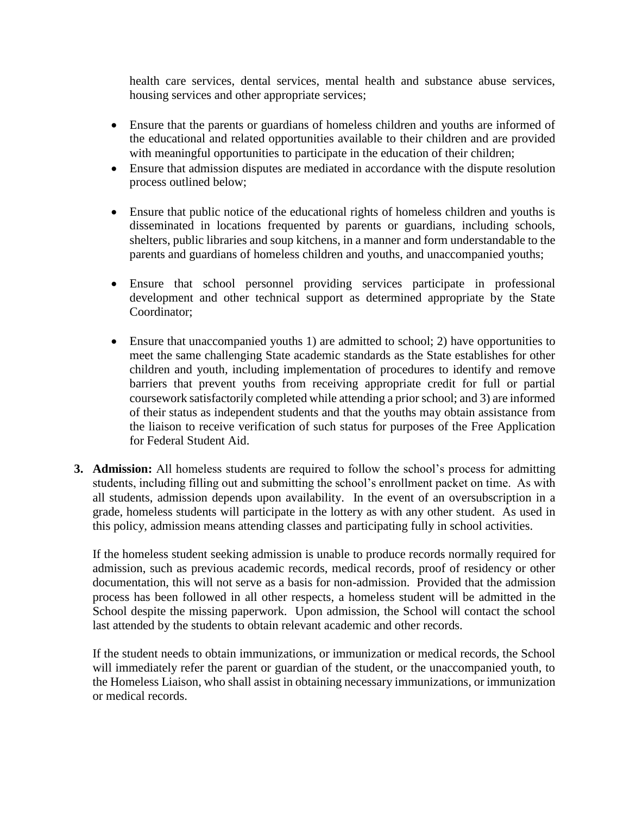health care services, dental services, mental health and substance abuse services, housing services and other appropriate services;

- Ensure that the parents or guardians of homeless children and youths are informed of the educational and related opportunities available to their children and are provided with meaningful opportunities to participate in the education of their children;
- Ensure that admission disputes are mediated in accordance with the dispute resolution process outlined below;
- Ensure that public notice of the educational rights of homeless children and youths is disseminated in locations frequented by parents or guardians, including schools, shelters, public libraries and soup kitchens, in a manner and form understandable to the parents and guardians of homeless children and youths, and unaccompanied youths;
- Ensure that school personnel providing services participate in professional development and other technical support as determined appropriate by the State Coordinator;
- Ensure that unaccompanied youths 1) are admitted to school; 2) have opportunities to meet the same challenging State academic standards as the State establishes for other children and youth, including implementation of procedures to identify and remove barriers that prevent youths from receiving appropriate credit for full or partial coursework satisfactorily completed while attending a prior school; and 3) are informed of their status as independent students and that the youths may obtain assistance from the liaison to receive verification of such status for purposes of the Free Application for Federal Student Aid.
- **3. Admission:** All homeless students are required to follow the school's process for admitting students, including filling out and submitting the school's enrollment packet on time. As with all students, admission depends upon availability. In the event of an oversubscription in a grade, homeless students will participate in the lottery as with any other student. As used in this policy, admission means attending classes and participating fully in school activities.

If the homeless student seeking admission is unable to produce records normally required for admission, such as previous academic records, medical records, proof of residency or other documentation, this will not serve as a basis for non-admission. Provided that the admission process has been followed in all other respects, a homeless student will be admitted in the School despite the missing paperwork. Upon admission, the School will contact the school last attended by the students to obtain relevant academic and other records.

If the student needs to obtain immunizations, or immunization or medical records, the School will immediately refer the parent or guardian of the student, or the unaccompanied youth, to the Homeless Liaison, who shall assist in obtaining necessary immunizations, or immunization or medical records.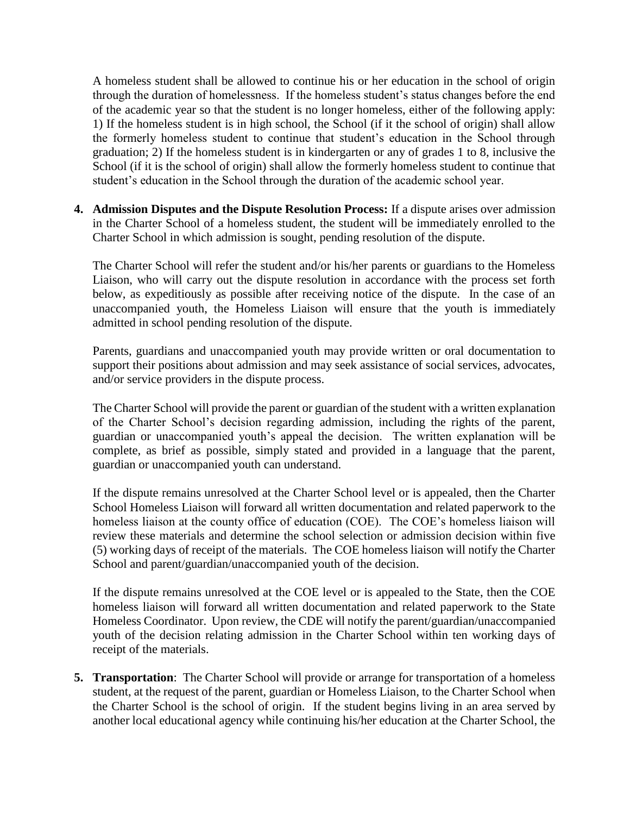A homeless student shall be allowed to continue his or her education in the school of origin through the duration of homelessness. If the homeless student's status changes before the end of the academic year so that the student is no longer homeless, either of the following apply: 1) If the homeless student is in high school, the School (if it the school of origin) shall allow the formerly homeless student to continue that student's education in the School through graduation; 2) If the homeless student is in kindergarten or any of grades 1 to 8, inclusive the School (if it is the school of origin) shall allow the formerly homeless student to continue that student's education in the School through the duration of the academic school year.

**4. Admission Disputes and the Dispute Resolution Process:** If a dispute arises over admission in the Charter School of a homeless student, the student will be immediately enrolled to the Charter School in which admission is sought, pending resolution of the dispute.

The Charter School will refer the student and/or his/her parents or guardians to the Homeless Liaison, who will carry out the dispute resolution in accordance with the process set forth below, as expeditiously as possible after receiving notice of the dispute. In the case of an unaccompanied youth, the Homeless Liaison will ensure that the youth is immediately admitted in school pending resolution of the dispute.

Parents, guardians and unaccompanied youth may provide written or oral documentation to support their positions about admission and may seek assistance of social services, advocates, and/or service providers in the dispute process.

The Charter School will provide the parent or guardian of the student with a written explanation of the Charter School's decision regarding admission, including the rights of the parent, guardian or unaccompanied youth's appeal the decision. The written explanation will be complete, as brief as possible, simply stated and provided in a language that the parent, guardian or unaccompanied youth can understand.

If the dispute remains unresolved at the Charter School level or is appealed, then the Charter School Homeless Liaison will forward all written documentation and related paperwork to the homeless liaison at the county office of education (COE). The COE's homeless liaison will review these materials and determine the school selection or admission decision within five (5) working days of receipt of the materials. The COE homeless liaison will notify the Charter School and parent/guardian/unaccompanied youth of the decision.

If the dispute remains unresolved at the COE level or is appealed to the State, then the COE homeless liaison will forward all written documentation and related paperwork to the State Homeless Coordinator. Upon review, the CDE will notify the parent/guardian/unaccompanied youth of the decision relating admission in the Charter School within ten working days of receipt of the materials.

**5. Transportation**: The Charter School will provide or arrange for transportation of a homeless student, at the request of the parent, guardian or Homeless Liaison, to the Charter School when the Charter School is the school of origin. If the student begins living in an area served by another local educational agency while continuing his/her education at the Charter School, the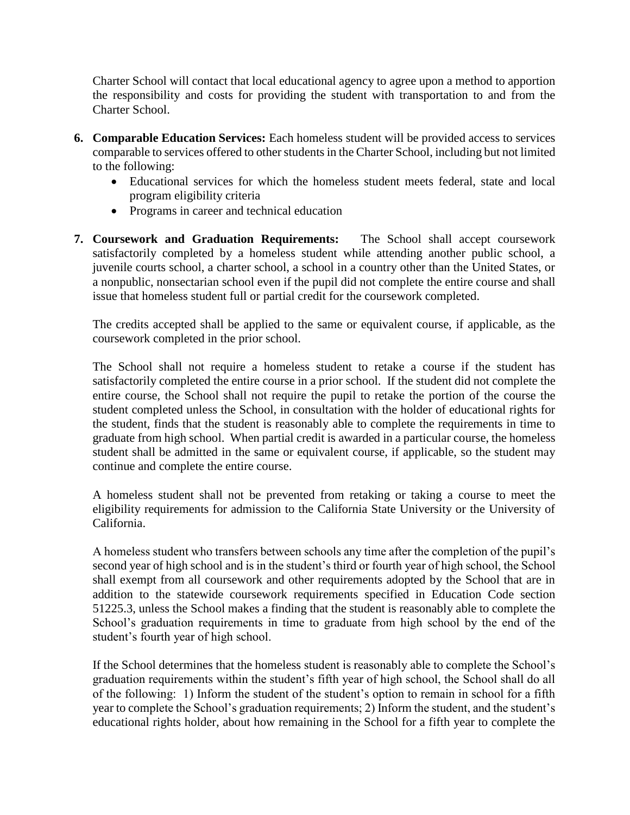Charter School will contact that local educational agency to agree upon a method to apportion the responsibility and costs for providing the student with transportation to and from the Charter School.

- **6. Comparable Education Services:** Each homeless student will be provided access to services comparable to services offered to other students in the Charter School, including but not limited to the following:
	- Educational services for which the homeless student meets federal, state and local program eligibility criteria
	- Programs in career and technical education
- **7. Coursework and Graduation Requirements:** The School shall accept coursework satisfactorily completed by a homeless student while attending another public school, a juvenile courts school, a charter school, a school in a country other than the United States, or a nonpublic, nonsectarian school even if the pupil did not complete the entire course and shall issue that homeless student full or partial credit for the coursework completed.

The credits accepted shall be applied to the same or equivalent course, if applicable, as the coursework completed in the prior school.

The School shall not require a homeless student to retake a course if the student has satisfactorily completed the entire course in a prior school. If the student did not complete the entire course, the School shall not require the pupil to retake the portion of the course the student completed unless the School, in consultation with the holder of educational rights for the student, finds that the student is reasonably able to complete the requirements in time to graduate from high school. When partial credit is awarded in a particular course, the homeless student shall be admitted in the same or equivalent course, if applicable, so the student may continue and complete the entire course.

A homeless student shall not be prevented from retaking or taking a course to meet the eligibility requirements for admission to the California State University or the University of California.

A homeless student who transfers between schools any time after the completion of the pupil's second year of high school and is in the student's third or fourth year of high school, the School shall exempt from all coursework and other requirements adopted by the School that are in addition to the statewide coursework requirements specified in Education Code section 51225.3, unless the School makes a finding that the student is reasonably able to complete the School's graduation requirements in time to graduate from high school by the end of the student's fourth year of high school.

If the School determines that the homeless student is reasonably able to complete the School's graduation requirements within the student's fifth year of high school, the School shall do all of the following: 1) Inform the student of the student's option to remain in school for a fifth year to complete the School's graduation requirements; 2) Inform the student, and the student's educational rights holder, about how remaining in the School for a fifth year to complete the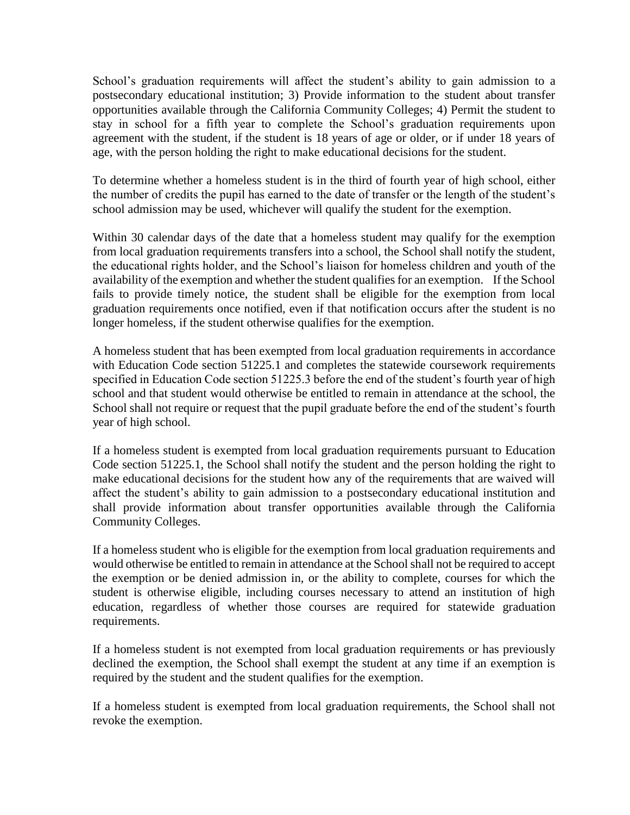School's graduation requirements will affect the student's ability to gain admission to a postsecondary educational institution; 3) Provide information to the student about transfer opportunities available through the California Community Colleges; 4) Permit the student to stay in school for a fifth year to complete the School's graduation requirements upon agreement with the student, if the student is 18 years of age or older, or if under 18 years of age, with the person holding the right to make educational decisions for the student.

To determine whether a homeless student is in the third of fourth year of high school, either the number of credits the pupil has earned to the date of transfer or the length of the student's school admission may be used, whichever will qualify the student for the exemption.

Within 30 calendar days of the date that a homeless student may qualify for the exemption from local graduation requirements transfers into a school, the School shall notify the student, the educational rights holder, and the School's liaison for homeless children and youth of the availability of the exemption and whether the student qualifies for an exemption. If the School fails to provide timely notice, the student shall be eligible for the exemption from local graduation requirements once notified, even if that notification occurs after the student is no longer homeless, if the student otherwise qualifies for the exemption.

A homeless student that has been exempted from local graduation requirements in accordance with Education Code section 51225.1 and completes the statewide coursework requirements specified in Education Code section 51225.3 before the end of the student's fourth year of high school and that student would otherwise be entitled to remain in attendance at the school, the School shall not require or request that the pupil graduate before the end of the student's fourth year of high school.

If a homeless student is exempted from local graduation requirements pursuant to Education Code section 51225.1, the School shall notify the student and the person holding the right to make educational decisions for the student how any of the requirements that are waived will affect the student's ability to gain admission to a postsecondary educational institution and shall provide information about transfer opportunities available through the California Community Colleges.

If a homeless student who is eligible for the exemption from local graduation requirements and would otherwise be entitled to remain in attendance at the School shall not be required to accept the exemption or be denied admission in, or the ability to complete, courses for which the student is otherwise eligible, including courses necessary to attend an institution of high education, regardless of whether those courses are required for statewide graduation requirements.

If a homeless student is not exempted from local graduation requirements or has previously declined the exemption, the School shall exempt the student at any time if an exemption is required by the student and the student qualifies for the exemption.

If a homeless student is exempted from local graduation requirements, the School shall not revoke the exemption.